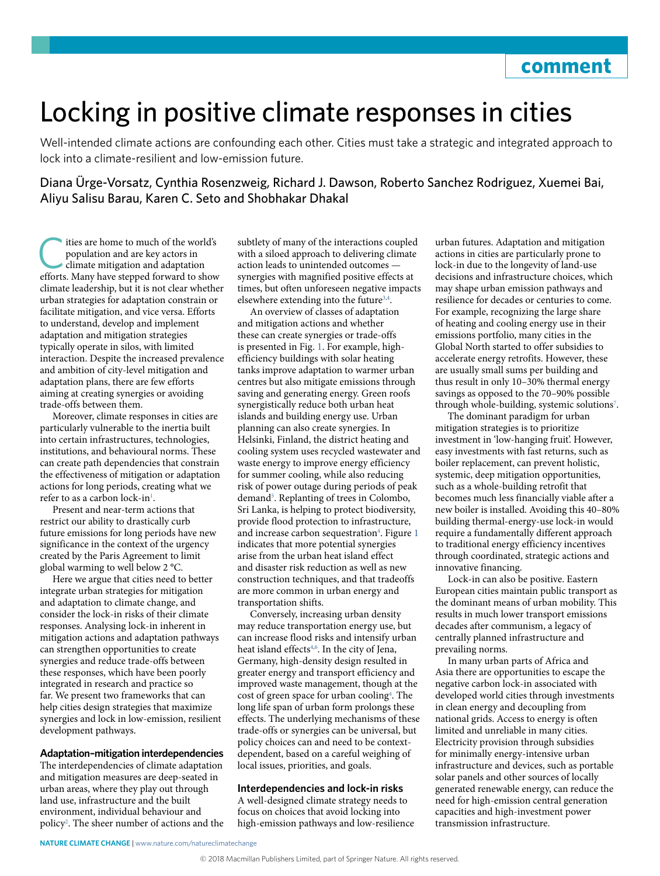# Locking in positive climate responses in cities

Well-intended climate actions are confounding each other. Cities must take a strategic and integrated approach to lock into a climate-resilient and low-emission future.

Diana Ürge-Vorsatz, Cynthia Rosenzweig, Richard J. Dawson, Roberto Sanchez Rodriguez, Xuemei Bai, Aliyu Salisu Barau, Karen C. Seto and Shobhakar Dhakal

The same to much of the world's<br>population and are key actors in<br>climate mitigation and adaptation<br>offorts. Many have stepped forward to show population and are key actors in climate mitigation and adaptation efforts. Many have stepped forward to show climate leadership, but it is not clear whether urban strategies for adaptation constrain or facilitate mitigation, and vice versa. Efforts to understand, develop and implement adaptation and mitigation strategies typically operate in silos, with limited interaction. Despite the increased prevalence and ambition of city-level mitigation and adaptation plans, there are few efforts aiming at creating synergies or avoiding trade-offs between them.

Moreover, climate responses in cities are particularly vulnerable to the inertia built into certain infrastructures, technologies, institutions, and behavioural norms. These can create path dependencies that constrain the effectiveness of mitigation or adaptation actions for long periods, creating what we refer to as a carbon lock-in<sup>1</sup>.

Present and near-term actions that restrict our ability to drastically curb future emissions for long periods have new significance in the context of the urgency created by the Paris Agreement to limit global warming to well below 2 °C.

Here we argue that cities need to better integrate urban strategies for mitigation and adaptation to climate change, and consider the lock-in risks of their climate responses. Analysing lock-in inherent in mitigation actions and adaptation pathways can strengthen opportunities to create synergies and reduce trade-offs between these responses, which have been poorly integrated in research and practice so far. We present two frameworks that can help cities design strategies that maximize synergies and lock in low-emission, resilient development pathways.

### **Adaptation–mitigation interdependencies**

The interdependencies of climate adaptation and mitigation measures are deep-seated in urban areas, where they play out through land use, infrastructure and the built environment, individual behaviour and policy[2](#page-3-1) . The sheer number of actions and the subtlety of many of the interactions coupled with a siloed approach to delivering climate action leads to unintended outcomes synergies with magnified positive effects at times, but often unforeseen negative impacts elsewhere extending into the future<sup>3[,4](#page-3-3)</sup>.

An overview of classes of adaptation and mitigation actions and whether these can create synergies or trade-offs is presented in Fig. [1.](#page-1-0) For example, highefficiency buildings with solar heating tanks improve adaptation to warmer urban centres but also mitigate emissions through saving and generating energy. Green roofs synergistically reduce both urban heat islands and building energy use. Urban planning can also create synergies. In Helsinki, Finland, the district heating and cooling system uses recycled wastewater and waste energy to improve energy efficiency for summer cooling, while also reducing risk of power outage during periods of peak demand<sup>[5](#page-3-4)</sup>. Replanting of trees in Colombo, Sri Lanka, is helping to protect biodiversity, provide flood protection to infrastructure, and increase carbon sequestration<sup>[4](#page-3-3)</sup>. Figure [1](#page-1-0) indicates that more potential synergies arise from the urban heat island effect and disaster risk reduction as well as new construction techniques, and that tradeoffs are more common in urban energy and transportation shifts.

Conversely, increasing urban density may reduce transportation energy use, but can increase flood risks and intensify urban heat island effects<sup>4,[6](#page-3-5)</sup>. In the city of Jena, Germany, high-density design resulted in greater energy and transport efficiency and improved waste management, though at the cost of green space for urban cooling<sup>4</sup>. The long life span of urban form prolongs these effects. The underlying mechanisms of these trade-offs or synergies can be universal, but policy choices can and need to be contextdependent, based on a careful weighing of local issues, priorities, and goals.

#### **Interdependencies and lock-in risks**

A well-designed climate strategy needs to focus on choices that avoid locking into high-emission pathways and low-resilience

urban futures. Adaptation and mitigation actions in cities are particularly prone to lock-in due to the longevity of land-use decisions and infrastructure choices, which may shape urban emission pathways and resilience for decades or centuries to come. For example, recognizing the large share of heating and cooling energy use in their emissions portfolio, many cities in the Global North started to offer subsidies to accelerate energy retrofits. However, these are usually small sums per building and thus result in only 10–30% thermal energy savings as opposed to the 70–90% possible through whole-building, systemic solutions<sup>[7](#page-3-6)</sup>.

The dominant paradigm for urban mitigation strategies is to prioritize investment in 'low-hanging fruit'. However, easy investments with fast returns, such as boiler replacement, can prevent holistic, systemic, deep mitigation opportunities, such as a whole-building retrofit that becomes much less financially viable after a new boiler is installed. Avoiding this 40–80% building thermal-energy-use lock-in would require a fundamentally different approach to traditional energy efficiency incentives through coordinated, strategic actions and innovative financing.

Lock-in can also be positive. Eastern European cities maintain public transport as the dominant means of urban mobility. This results in much lower transport emissions decades after communism, a legacy of centrally planned infrastructure and prevailing norms.

In many urban parts of Africa and Asia there are opportunities to escape the negative carbon lock-in associated with developed world cities through investments in clean energy and decoupling from national grids. Access to energy is often limited and unreliable in many cities. Electricity provision through subsidies for minimally energy-intensive urban infrastructure and devices, such as portable solar panels and other sources of locally generated renewable energy, can reduce the need for high-emission central generation capacities and high-investment power transmission infrastructure.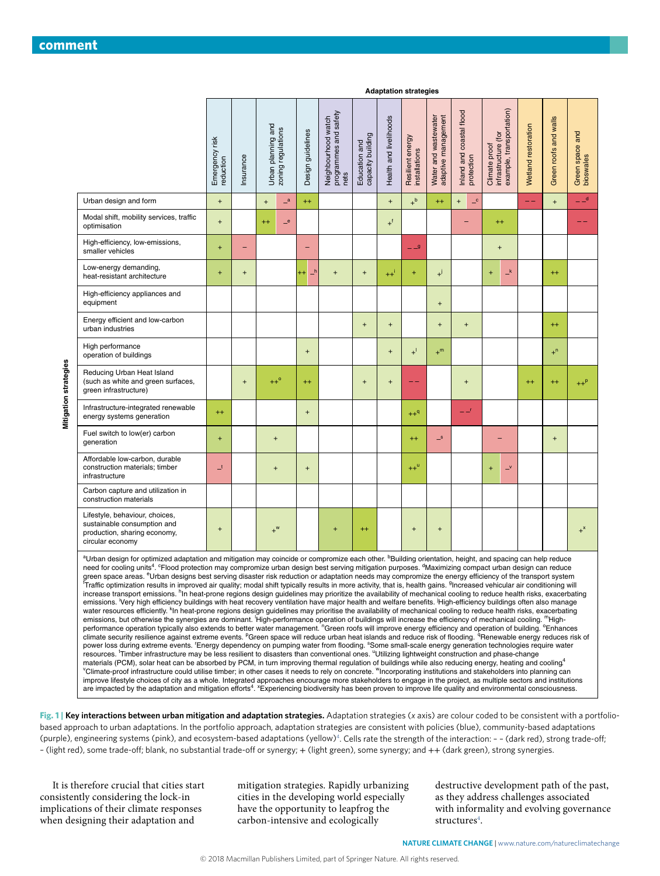|                                                                                                                                                                                                                                                                                                                                                                                                                                                                                                                                                                                                                                                                                                                                                                                                                                                                                                                                                                                                                                                                                                                                                                                                                                                                                                                                                                                                                                                                                                                                                                                                                                                                                                                                                                                                                                                                                                                                                                                                                                                                                                                                                                                                                                                                                                                                                                                                                                                                                                                                                                                                                                                                                                                                                                                                                                                         | Emergency risk<br>reduction | nsurance  | Urban planning and | zoning regulations | Design guidelines | programmes and safety<br>nets<br>Neighbourhood watch | Education and<br>capacity building | Health and livelihoods           | Resilient energy<br>installations | adaptive management<br>Water and wastewater | Inland and coastal flood<br>protection           | Climate proof<br>infrastructure (for<br>example, transportation) | Wetland restoration | Green roofs and walls            | Green space and<br>bioswales |
|---------------------------------------------------------------------------------------------------------------------------------------------------------------------------------------------------------------------------------------------------------------------------------------------------------------------------------------------------------------------------------------------------------------------------------------------------------------------------------------------------------------------------------------------------------------------------------------------------------------------------------------------------------------------------------------------------------------------------------------------------------------------------------------------------------------------------------------------------------------------------------------------------------------------------------------------------------------------------------------------------------------------------------------------------------------------------------------------------------------------------------------------------------------------------------------------------------------------------------------------------------------------------------------------------------------------------------------------------------------------------------------------------------------------------------------------------------------------------------------------------------------------------------------------------------------------------------------------------------------------------------------------------------------------------------------------------------------------------------------------------------------------------------------------------------------------------------------------------------------------------------------------------------------------------------------------------------------------------------------------------------------------------------------------------------------------------------------------------------------------------------------------------------------------------------------------------------------------------------------------------------------------------------------------------------------------------------------------------------------------------------------------------------------------------------------------------------------------------------------------------------------------------------------------------------------------------------------------------------------------------------------------------------------------------------------------------------------------------------------------------------------------------------------------------------------------------------------------------------|-----------------------------|-----------|--------------------|--------------------|-------------------|------------------------------------------------------|------------------------------------|----------------------------------|-----------------------------------|---------------------------------------------|--------------------------------------------------|------------------------------------------------------------------|---------------------|----------------------------------|------------------------------|
| Urban design and form                                                                                                                                                                                                                                                                                                                                                                                                                                                                                                                                                                                                                                                                                                                                                                                                                                                                                                                                                                                                                                                                                                                                                                                                                                                                                                                                                                                                                                                                                                                                                                                                                                                                                                                                                                                                                                                                                                                                                                                                                                                                                                                                                                                                                                                                                                                                                                                                                                                                                                                                                                                                                                                                                                                                                                                                                                   | $\ddot{}$                   |           | $\ddot{}$          | $\mathbf{a}$       | $^{++}$           |                                                      |                                    | $\ddot{}$                        | $+^b$                             | $^{++}$                                     | $\mathbf{C}$<br>$\begin{array}{c} + \end{array}$ |                                                                  | $ -$                | $\ddot{}$                        | فلل                          |
| Modal shift, mobility services, traffic<br>optimisation                                                                                                                                                                                                                                                                                                                                                                                                                                                                                                                                                                                                                                                                                                                                                                                                                                                                                                                                                                                                                                                                                                                                                                                                                                                                                                                                                                                                                                                                                                                                                                                                                                                                                                                                                                                                                                                                                                                                                                                                                                                                                                                                                                                                                                                                                                                                                                                                                                                                                                                                                                                                                                                                                                                                                                                                 | $\ddot{}$                   |           | $^{++}$            | $-$ e              |                   |                                                      |                                    | $+$ <sup>f</sup>                 |                                   |                                             |                                                  | $^{++}$                                                          |                     |                                  |                              |
| High-efficiency, low-emissions,<br>smaller vehicles                                                                                                                                                                                                                                                                                                                                                                                                                                                                                                                                                                                                                                                                                                                                                                                                                                                                                                                                                                                                                                                                                                                                                                                                                                                                                                                                                                                                                                                                                                                                                                                                                                                                                                                                                                                                                                                                                                                                                                                                                                                                                                                                                                                                                                                                                                                                                                                                                                                                                                                                                                                                                                                                                                                                                                                                     | $\ddot{}$                   | ۳         |                    |                    | ۳                 |                                                      |                                    |                                  | $-9$                              |                                             |                                                  | $\ddot{}$                                                        |                     |                                  |                              |
| Low-energy demanding,<br>heat-resistant architecture                                                                                                                                                                                                                                                                                                                                                                                                                                                                                                                                                                                                                                                                                                                                                                                                                                                                                                                                                                                                                                                                                                                                                                                                                                                                                                                                                                                                                                                                                                                                                                                                                                                                                                                                                                                                                                                                                                                                                                                                                                                                                                                                                                                                                                                                                                                                                                                                                                                                                                                                                                                                                                                                                                                                                                                                    | $\ddot{}$                   | $^{+}$    |                    |                    | ᆣ<br>$++$         | $\ddot{}$                                            | $\ddot{}$                          | $++1$                            | ÷                                 | $^{+}$                                      |                                                  | $\mathsf{I}^{\mathsf{k}}$<br>$\ddot{}$                           |                     | $^{++}$                          |                              |
| High-efficiency appliances and<br>equipment                                                                                                                                                                                                                                                                                                                                                                                                                                                                                                                                                                                                                                                                                                                                                                                                                                                                                                                                                                                                                                                                                                                                                                                                                                                                                                                                                                                                                                                                                                                                                                                                                                                                                                                                                                                                                                                                                                                                                                                                                                                                                                                                                                                                                                                                                                                                                                                                                                                                                                                                                                                                                                                                                                                                                                                                             |                             |           |                    |                    |                   |                                                      |                                    |                                  |                                   | $\ddot{}$                                   |                                                  |                                                                  |                     |                                  |                              |
| Energy efficient and low-carbon<br>urban industries                                                                                                                                                                                                                                                                                                                                                                                                                                                                                                                                                                                                                                                                                                                                                                                                                                                                                                                                                                                                                                                                                                                                                                                                                                                                                                                                                                                                                                                                                                                                                                                                                                                                                                                                                                                                                                                                                                                                                                                                                                                                                                                                                                                                                                                                                                                                                                                                                                                                                                                                                                                                                                                                                                                                                                                                     |                             |           |                    |                    |                   |                                                      | $\ddot{}$                          | $\begin{array}{c} + \end{array}$ |                                   | $\ddot{}$                                   | $\begin{array}{c} + \end{array}$                 |                                                                  |                     | $^{++}$                          |                              |
| High performance<br>operation of buildings                                                                                                                                                                                                                                                                                                                                                                                                                                                                                                                                                                                                                                                                                                                                                                                                                                                                                                                                                                                                                                                                                                                                                                                                                                                                                                                                                                                                                                                                                                                                                                                                                                                                                                                                                                                                                                                                                                                                                                                                                                                                                                                                                                                                                                                                                                                                                                                                                                                                                                                                                                                                                                                                                                                                                                                                              |                             |           |                    |                    | $\ddot{}$         |                                                      |                                    | $\begin{array}{c} + \end{array}$ | $+$ <sup>1</sup>                  | $+^m$                                       |                                                  |                                                                  |                     | $+^n$                            |                              |
| Reducing Urban Heat Island<br>(such as white and green surfaces,<br>green infrastructure)                                                                                                                                                                                                                                                                                                                                                                                                                                                                                                                                                                                                                                                                                                                                                                                                                                                                                                                                                                                                                                                                                                                                                                                                                                                                                                                                                                                                                                                                                                                                                                                                                                                                                                                                                                                                                                                                                                                                                                                                                                                                                                                                                                                                                                                                                                                                                                                                                                                                                                                                                                                                                                                                                                                                                               |                             | $\ddot{}$ | $++^{\circ}$       |                    | $^{++}$           |                                                      | $\ddot{}$                          | $\begin{array}{c} + \end{array}$ |                                   |                                             | $\begin{array}{c} + \end{array}$                 |                                                                  | $++$                | $^{++}$                          | $++^p$                       |
| Infrastructure-integrated renewable<br>energy systems generation                                                                                                                                                                                                                                                                                                                                                                                                                                                                                                                                                                                                                                                                                                                                                                                                                                                                                                                                                                                                                                                                                                                                                                                                                                                                                                                                                                                                                                                                                                                                                                                                                                                                                                                                                                                                                                                                                                                                                                                                                                                                                                                                                                                                                                                                                                                                                                                                                                                                                                                                                                                                                                                                                                                                                                                        | $^{++}$                     |           |                    |                    | $\ddot{}$         |                                                      |                                    |                                  | $++^q$                            |                                             | --'                                              |                                                                  |                     |                                  |                              |
| Fuel switch to low(er) carbon<br>generation                                                                                                                                                                                                                                                                                                                                                                                                                                                                                                                                                                                                                                                                                                                                                                                                                                                                                                                                                                                                                                                                                                                                                                                                                                                                                                                                                                                                                                                                                                                                                                                                                                                                                                                                                                                                                                                                                                                                                                                                                                                                                                                                                                                                                                                                                                                                                                                                                                                                                                                                                                                                                                                                                                                                                                                                             | $\ddot{}$                   |           | $\ddot{}$          |                    |                   |                                                      |                                    |                                  | $^{++}$                           | $\mathbf{r}$                                |                                                  |                                                                  |                     | $\begin{array}{c} + \end{array}$ |                              |
| Affordable low-carbon, durable<br>construction materials; timber<br>infrastructure                                                                                                                                                                                                                                                                                                                                                                                                                                                                                                                                                                                                                                                                                                                                                                                                                                                                                                                                                                                                                                                                                                                                                                                                                                                                                                                                                                                                                                                                                                                                                                                                                                                                                                                                                                                                                                                                                                                                                                                                                                                                                                                                                                                                                                                                                                                                                                                                                                                                                                                                                                                                                                                                                                                                                                      | $\mathbf{I}$                |           | $\ddot{}$          |                    | $\ddot{}$         |                                                      |                                    |                                  | $++^u$                            |                                             |                                                  | $\overline{\phantom{0}}^{\mathsf{v}}$<br>$\ddot{}$               |                     |                                  |                              |
| Carbon capture and utilization in<br>construction materials                                                                                                                                                                                                                                                                                                                                                                                                                                                                                                                                                                                                                                                                                                                                                                                                                                                                                                                                                                                                                                                                                                                                                                                                                                                                                                                                                                                                                                                                                                                                                                                                                                                                                                                                                                                                                                                                                                                                                                                                                                                                                                                                                                                                                                                                                                                                                                                                                                                                                                                                                                                                                                                                                                                                                                                             |                             |           |                    |                    |                   |                                                      |                                    |                                  |                                   |                                             |                                                  |                                                                  |                     |                                  |                              |
| Lifestyle, behaviour, choices,<br>sustainable consumption and<br>production, sharing economy,<br>circular economy                                                                                                                                                                                                                                                                                                                                                                                                                                                                                                                                                                                                                                                                                                                                                                                                                                                                                                                                                                                                                                                                                                                                                                                                                                                                                                                                                                                                                                                                                                                                                                                                                                                                                                                                                                                                                                                                                                                                                                                                                                                                                                                                                                                                                                                                                                                                                                                                                                                                                                                                                                                                                                                                                                                                       | $\ddot{}$                   |           | $+$ <sup>w</sup>   |                    |                   | $\ddot{}$                                            | $^{++}$                            |                                  | $\ddot{}$                         | $\ddot{}$                                   |                                                  |                                                                  |                     |                                  | $+^{x}$                      |
| aUrban design for optimized adaptation and mitigation may coincide or compromize each other. <b>bBuilding orientation, height, and spacing can help reduce</b><br>need for cooling units <sup>4</sup> . <sup>c</sup> Flood protection may compromize urban design best serving mitigation purposes. <sup>d</sup> Maximizing compact urban design can reduce<br>green space areas. <sup>e</sup> Urban designs best serving disaster risk reduction or adaptation needs may compromize the energy efficiency of the transport system<br><sup>1</sup> Traffic optimization results in improved air quality; modal shift typically results in more activity, that is, health gains. <sup>9</sup> Increased vehicular air conditioning will<br>increase transport emissions. <sup>h</sup> In heat-prone regions design guidelines may prioritize the availability of mechanical cooling to reduce health risks, exacerbating<br>emissions. Very high efficiency buildings with heat recovery ventilation have major health and welfare benefits. High-efficiency buildings often also manage<br>water resources efficiently. <sup>K</sup> In heat-prone regions design guidelines may prioritise the availability of mechanical cooling to reduce health risks, exacerbating<br>emissions, but otherwise the synergies are dominant. High-performance operation of buildings will increase the efficiency of mechanical cooling. "High-<br>performance operation typically also extends to better water management. "Green roofs will improve energy efficiency and operation of building. <sup>o</sup> Enhances<br>climate security resilience against extreme events. <sup>P</sup> Green space will reduce urban heat islands and reduce risk of flooding. <sup>q</sup> Renewable energy reduces risk of<br>power loss during extreme events. 'Energy dependency on pumping water from flooding. <sup>s</sup> Some small-scale energy generation technologies require water<br>resources. Timber infrastructure may be less resilient to disasters than conventional ones. "Utilizing lightweight construction and phase-change<br>materials (PCM), solar heat can be absorbed by PCM, in turn improving thermal regulation of buildings while also reducing energy, heating and cooling <sup>4</sup><br><sup>V</sup> Climate-proof infrastructure could utilise timber; in other cases it needs to rely on concrete. <sup>"</sup> Incorporating institutions and stakeholders into planning can<br>improve lifestyle choices of city as a whole. Integrated approaches encourage more stakeholders to engage in the project, as multiple sectors and institutions<br>are impacted by the adaptation and mitigation efforts <sup>4</sup> . <sup>x</sup> Experiencing biodiversity has been proven to improve life quality and environmental consciousness. |                             |           |                    |                    |                   |                                                      |                                    |                                  |                                   |                                             |                                                  |                                                                  |                     |                                  |                              |

**Adaptation strategies**

<span id="page-1-0"></span>**Fig. 1 | Key interactions between urban mitigation and adaptation strategies.** Adaptation strategies (*x* axis) are colour coded to be consistent with a portfoliobased approach to urban adaptations. In the portfolio approach, adaptation strategies are consistent with policies (blue), community-based adaptations (purple), engineering systems (pink), and ecosystem-based adaptations (yellow)<sup>[4](#page-3-3)</sup>. Cells rate the strength of the interaction: - - (dark red), strong trade-off; – (light red), some trade-off; blank, no substantial trade-off or synergy; + (light green), some synergy; and ++ (dark green), strong synergies.

It is therefore crucial that cities start consistently considering the lock-in implications of their climate responses when designing their adaptation and

mitigation strategies. Rapidly urbanizing cities in the developing world especially have the opportunity to leapfrog the carbon-intensive and ecologically

destructive development path of the past, as they address challenges associated with informality and evolving governance structures<sup>[4](#page-3-3)</sup>.

**Mitigation strategies Mitigation strategies**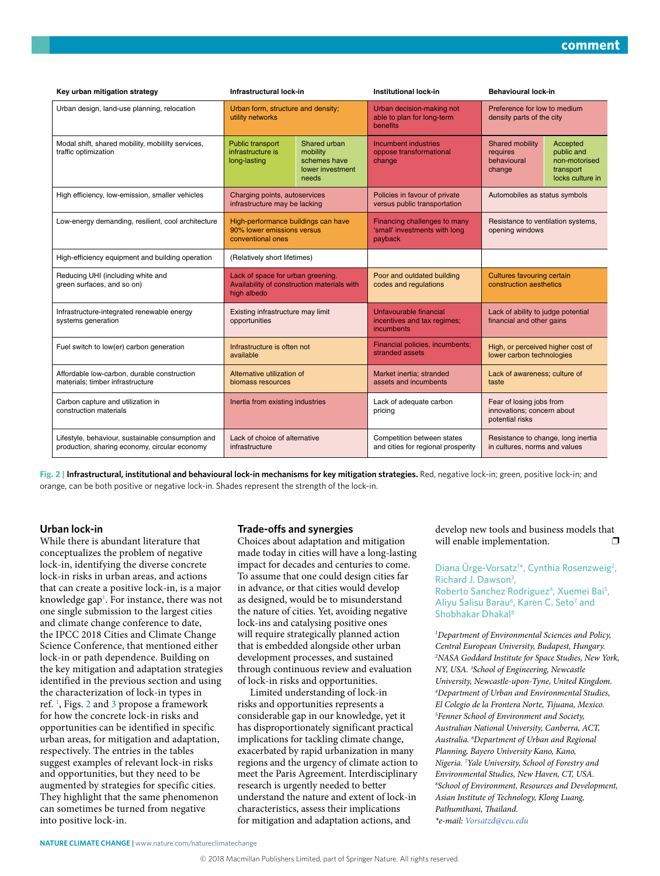| Key urban mitigation strategy                                                                      | Infrastructural lock-in                                                                         |                                                                       | <b>Institutional lock-in</b>                                             | <b>Behavioural lock-in</b>                                                |                                                                          |  |
|----------------------------------------------------------------------------------------------------|-------------------------------------------------------------------------------------------------|-----------------------------------------------------------------------|--------------------------------------------------------------------------|---------------------------------------------------------------------------|--------------------------------------------------------------------------|--|
| Urban design, land-use planning, relocation                                                        | Urban form, structure and density;<br>utility networks                                          |                                                                       | Urban decision-making not<br>able to plan for long-term<br>benefits      | Preference for low to medium<br>density parts of the city                 |                                                                          |  |
| Modal shift, shared mobility, mobility services,<br>traffic optimization                           | Public transport<br>infrastructure is<br>long-lasting                                           | Shared urban<br>mobility<br>schemes have<br>lower investment<br>needs | <b>Incumbent industries</b><br>oppose transformational<br>change         | <b>Shared mobility</b><br>requires<br>behavioural<br>change               | Accepted<br>public and<br>non-motorised<br>transport<br>locks culture in |  |
| High efficiency, low-emission, smaller vehicles                                                    | Charging points, autoservices<br>infrastructure may be lacking                                  |                                                                       | Policies in favour of private<br>versus public transportation            | Automobiles as status symbols                                             |                                                                          |  |
| Low-energy demanding, resilient, cool architecture                                                 | High-performance buildings can have<br>90% lower emissions versus<br>conventional ones          |                                                                       | Financing challenges to many<br>'small' investments with long<br>payback | Resistance to ventilation systems,<br>opening windows                     |                                                                          |  |
| High-efficiency equipment and building operation                                                   | (Relatively short lifetimes)                                                                    |                                                                       |                                                                          |                                                                           |                                                                          |  |
| Reducing UHI (including white and<br>green surfaces, and so on)                                    | Lack of space for urban greening.<br>Availability of construction materials with<br>high albedo |                                                                       | Poor and outdated building<br>codes and regulations                      | <b>Cultures favouring certain</b><br>construction aesthetics              |                                                                          |  |
| Infrastructure-integrated renewable energy<br>systems generation                                   | Existing infrastructure may limit<br>opportunities                                              |                                                                       | Unfavourable financial<br>incentives and tax regimes;<br>incumbents      | Lack of ability to judge potential<br>financial and other gains           |                                                                          |  |
| Fuel switch to low(er) carbon generation                                                           | Infrastructure is often not<br>available                                                        |                                                                       | Financial policies, incumbents;<br>stranded assets                       | High, or perceived higher cost of<br>lower carbon technologies            |                                                                          |  |
| Affordable low-carbon, durable construction<br>materials; timber infrastructure                    | Alternative utilization of<br>biomass resources                                                 |                                                                       | Market inertia; stranded<br>assets and incumbents                        | Lack of awareness; culture of<br>taste                                    |                                                                          |  |
| Carbon capture and utilization in<br>construction materials                                        | Inertia from existing industries                                                                |                                                                       | Lack of adequate carbon<br>pricing                                       | Fear of losing jobs from<br>innovations; concern about<br>potential risks |                                                                          |  |
| Lifestyle, behaviour, sustainable consumption and<br>production, sharing economy, circular economy | Lack of choice of alternative<br>infrastructure                                                 |                                                                       | Competition between states<br>and cities for regional prosperity         | Resistance to change, long inertia<br>in cultures, norms and values       |                                                                          |  |

<span id="page-2-0"></span>**Fig. 2 | Infrastructural, institutional and behavioural lock-in mechanisms for key mitigation strategies.** Red, negative lock-in; green, positive lock-in; and orange, can be both positive or negative lock-in. Shades represent the strength of the lock-in.

#### **Urban lock-in**

While there is abundant literature that conceptualizes the problem of negative lock-in, identifying the diverse concrete lock-in risks in urban areas, and actions that can create a positive lock-in, is a major knowledge gap<sup>1</sup>. For instance, there was not one single submission to the largest cities and climate change conference to date, the IPCC 2018 Cities and Climate Change Science Conference, that mentioned either lock-in or path dependence. Building on the key mitigation and adaptation strategies identified in the previous section and using the characterization of lock-in types in ref. [1](#page-3-0) , Figs. [2](#page-2-0) and [3](#page-3-7) propose a framework for how the concrete lock-in risks and opportunities can be identified in specific urban areas, for mitigation and adaptation, respectively. The entries in the tables suggest examples of relevant lock-in risks and opportunities, but they need to be augmented by strategies for specific cities. They highlight that the same phenomenon can sometimes be turned from negative into positive lock-in.

#### **Trade-ofs and synergies**

Choices about adaptation and mitigation made today in cities will have a long-lasting impact for decades and centuries to come. To assume that one could design cities far in advance, or that cities would develop as designed, would be to misunderstand the nature of cities. Yet, avoiding negative lock-ins and catalysing positive ones will require strategically planned action that is embedded alongside other urban development processes, and sustained through continuous review and evaluation of lock-in risks and opportunities.

Limited understanding of lock-in risks and opportunities represents a considerable gap in our knowledge, yet it has disproportionately significant practical implications for tackling climate change, exacerbated by rapid urbanization in many regions and the urgency of climate action to meet the Paris Agreement. Interdisciplinary research is urgently needed to better understand the nature and extent of lock-in characteristics, assess their implications for mitigation and adaptation actions, and

develop new tools and business models that will enable implementation.  $\Box$ 

#### Diana Ürge-Vorsatz<sup>1\*</sup>, Cynthia Rosenzweig<sup>2</sup>, Richard J. Dawson<sup>3</sup>, Roberto Sanchez Rodriguez<sup>4</sup>, Xuemei Bai<sup>5</sup>, Aliyu Salisu Barau<sup>6</sup>, Karen C. Seto<sup>7</sup> and Shobhakar Dhakal8

*1 Department of Environmental Sciences and Policy, Central European University, Budapest, Hungary. 2 NASA Goddard Institute for Space Studies, New York, NY, USA. 3 School of Engineering, Newcastle University, Newcastle-upon-Tyne, United Kingdom. 4 Department of Urban and Environmental Studies, El Colegio de la Frontera Norte, Tijuana, Mexico. 5 Fenner School of Environment and Society, Australian National University, Canberra, ACT, Australia. 6 Department of Urban and Regional Planning, Bayero University Kano, Kano, Nigeria. 7 Yale University, School of Forestry and Environmental Studies, New Haven, CT, USA. 8 School of Environment, Resources and Development, Asian Institute of Technology, Klong Luang,*  Pathumthani, Thailand. *\*e-mail: [Vorsatzd@ceu.edu](mailto:Vorsatzd@ceu.edu)*